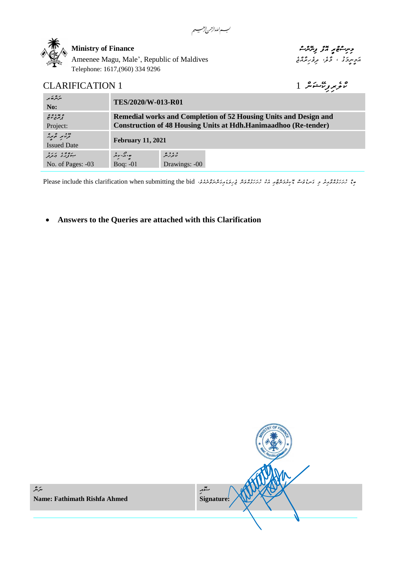a

جِسِشُوْمِبِ ٱلْمَرْضِ مِسْرَسُوْمِبِ ٱلْمَرْضِيْفِيْتِ حِسِيسُوْمِيْتِ مِسْرَةِ مِسْرَةِ بِمَسْرَةِ مِسْرَةِ م کے سروری ، نخو، مر*ؤربرٌة بیا کا*م Ameenee Magu, Male', Republic of Maldives Telephone: 1617,(960) 334 9296

# *ކްލެރިފިކޭޝަން* 1 1 CLARIFICATION

| مرکبر کھ سر<br>No:                                   | TES/2020/W-013-R01                                                      |                     |  |
|------------------------------------------------------|-------------------------------------------------------------------------|---------------------|--|
| ه بو ، ه ه<br>تر بر م نوم                            | <b>Remedial works and Completion of 52 Housing Units and Design and</b> |                     |  |
| Project:                                             | <b>Construction of 48 Housing Units at Hdh.Hanimaadhoo (Re-tender)</b>  |                     |  |
| כבר מי המיקר.<br>בקינוק המיקר.<br><b>Issued Date</b> | <b>February 11, 2021</b>                                                |                     |  |
| بەۋلار ئەرد                                          | ھ وگر مور                                                               | د ، د ه<br>بربر پېړ |  |
| No. of Pages: -03                                    | Bog: $-01$                                                              | Drawings: -00       |  |

مِعْ حِمَدَتِهُ رَحِمَ وَسِمْوَحِ مَسِمْوَحِمْ مِنْ حَمَدَةً مِنْ حَمَدَةً مِنْ حَمَدِيمَةً مِنْ حَمَدِيمَةً مِنْ حَمَدَةً مِنْ حَمَدَةً مِنْ حَمَدَةً مِنْ حَمَدَةً مِنْ حَمَدَةً مِنْ حَمَدَةً مِنْ حَمَدَةً مِنْ حَمَدَةً

## • **Answers to the Queries are attached with this Clarification**

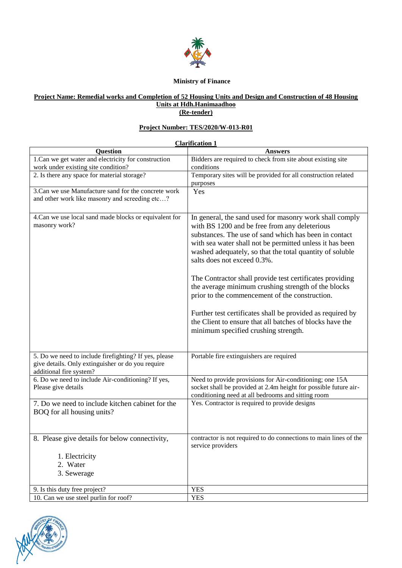

#### **Ministry of Finance**

### **Project Name: Remedial works and Completion of 52 Housing Units and Design and Construction of 48 Housing Units at Hdh.Hanimaadhoo (Re-tender)**

#### **Project Number: TES/2020/W-013-R01**

|                                                                                                                                       | <b>Clarification 1</b>                                                                                                                                                                                                                                                                                                                                                                                                                                                                                                                                                                                                                                          |
|---------------------------------------------------------------------------------------------------------------------------------------|-----------------------------------------------------------------------------------------------------------------------------------------------------------------------------------------------------------------------------------------------------------------------------------------------------------------------------------------------------------------------------------------------------------------------------------------------------------------------------------------------------------------------------------------------------------------------------------------------------------------------------------------------------------------|
| <b>Question</b>                                                                                                                       | <b>Answers</b>                                                                                                                                                                                                                                                                                                                                                                                                                                                                                                                                                                                                                                                  |
| 1.Can we get water and electricity for construction                                                                                   | Bidders are required to check from site about existing site                                                                                                                                                                                                                                                                                                                                                                                                                                                                                                                                                                                                     |
| work under existing site condition?                                                                                                   | conditions                                                                                                                                                                                                                                                                                                                                                                                                                                                                                                                                                                                                                                                      |
| 2. Is there any space for material storage?                                                                                           | Temporary sites will be provided for all construction related                                                                                                                                                                                                                                                                                                                                                                                                                                                                                                                                                                                                   |
|                                                                                                                                       | purposes                                                                                                                                                                                                                                                                                                                                                                                                                                                                                                                                                                                                                                                        |
| 3. Can we use Manufacture sand for the concrete work<br>and other work like masonry and screeding etc?                                | Yes                                                                                                                                                                                                                                                                                                                                                                                                                                                                                                                                                                                                                                                             |
| 4. Can we use local sand made blocks or equivalent for<br>masonry work?                                                               | In general, the sand used for masonry work shall comply<br>with BS 1200 and be free from any deleterious<br>substances. The use of sand which has been in contact<br>with sea water shall not be permitted unless it has been<br>washed adequately, so that the total quantity of soluble<br>salts does not exceed 0.3%.<br>The Contractor shall provide test certificates providing<br>the average minimum crushing strength of the blocks<br>prior to the commencement of the construction.<br>Further test certificates shall be provided as required by<br>the Client to ensure that all batches of blocks have the<br>minimum specified crushing strength. |
| 5. Do we need to include firefighting? If yes, please<br>give details. Only extinguisher or do you require<br>additional fire system? | Portable fire extinguishers are required                                                                                                                                                                                                                                                                                                                                                                                                                                                                                                                                                                                                                        |
| 6. Do we need to include Air-conditioning? If yes,<br>Please give details                                                             | Need to provide provisions for Air-conditioning; one 15A<br>socket shall be provided at 2.4m height for possible future air-<br>conditioning need at all bedrooms and sitting room                                                                                                                                                                                                                                                                                                                                                                                                                                                                              |
| 7. Do we need to include kitchen cabinet for the<br>BOQ for all housing units?                                                        | Yes. Contractor is required to provide designs                                                                                                                                                                                                                                                                                                                                                                                                                                                                                                                                                                                                                  |
| 8. Please give details for below connectivity,                                                                                        | contractor is not required to do connections to main lines of the<br>service providers                                                                                                                                                                                                                                                                                                                                                                                                                                                                                                                                                                          |
| 1. Electricity                                                                                                                        |                                                                                                                                                                                                                                                                                                                                                                                                                                                                                                                                                                                                                                                                 |
| 2. Water                                                                                                                              |                                                                                                                                                                                                                                                                                                                                                                                                                                                                                                                                                                                                                                                                 |
| 3. Sewerage                                                                                                                           |                                                                                                                                                                                                                                                                                                                                                                                                                                                                                                                                                                                                                                                                 |
| 9. Is this duty free project?                                                                                                         | <b>YES</b>                                                                                                                                                                                                                                                                                                                                                                                                                                                                                                                                                                                                                                                      |
| 10. Can we use steel purlin for roof?                                                                                                 | <b>YES</b>                                                                                                                                                                                                                                                                                                                                                                                                                                                                                                                                                                                                                                                      |